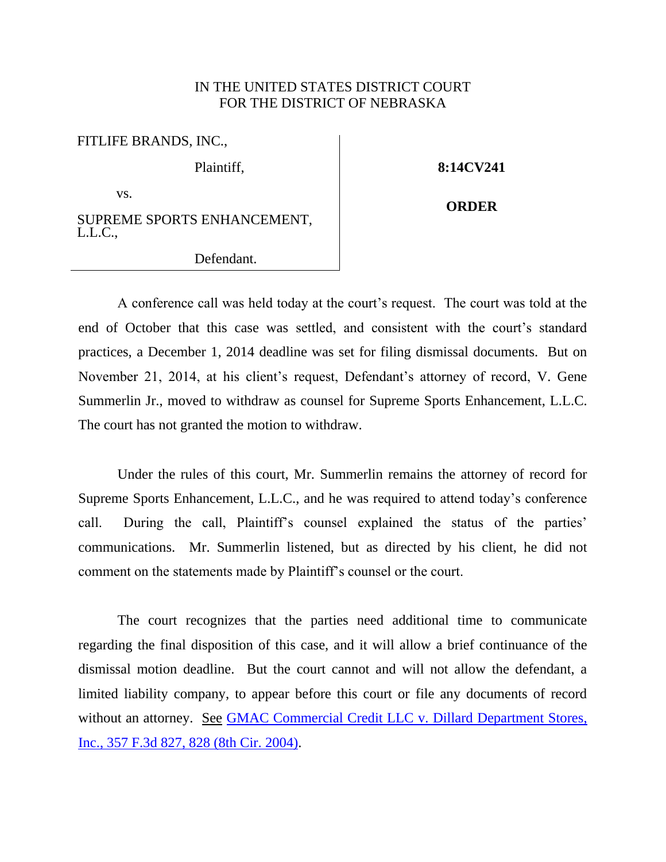## IN THE UNITED STATES DISTRICT COURT FOR THE DISTRICT OF NEBRASKA

| FITLIFE BRANDS, INC.,                  |
|----------------------------------------|
| Plaintiff,                             |
| VS.                                    |
| SUPREME SPORTS ENHANCEMENT,<br>L.L.C., |

## Defendant.

## **8:14CV241**

**ORDER**

A conference call was held today at the court's request. The court was told at the end of October that this case was settled, and consistent with the court's standard practices, a December 1, 2014 deadline was set for filing dismissal documents. But on November 21, 2014, at his client's request, Defendant's attorney of record, V. Gene Summerlin Jr., moved to withdraw as counsel for Supreme Sports Enhancement, L.L.C. The court has not granted the motion to withdraw.

Under the rules of this court, Mr. Summerlin remains the attorney of record for Supreme Sports Enhancement, L.L.C., and he was required to attend today's conference call. During the call, Plaintiff's counsel explained the status of the parties' communications. Mr. Summerlin listened, but as directed by his client, he did not comment on the statements made by Plaintiff's counsel or the court.

The court recognizes that the parties need additional time to communicate regarding the final disposition of this case, and it will allow a brief continuance of the dismissal motion deadline. But the court cannot and will not allow the defendant, a limited liability company, to appear before this court or file any documents of record without an attorney. See GMAC Commercial Credit LLC v. Dillard Department Stores, [Inc., 357 F.3d 827, 828 \(8th Cir. 2004\).](http://westlaw.com/find/default.wl?ft=Y&referencepositiontype=S&rs=btil2.0&rp=%2ffind%2fdefault.wl&serialnum=2004116604&fn=_top&referenceposition=828&findtype=Y&vr=2.0&db=0000506&wbtoolsId=2004116604&HistoryType=F)